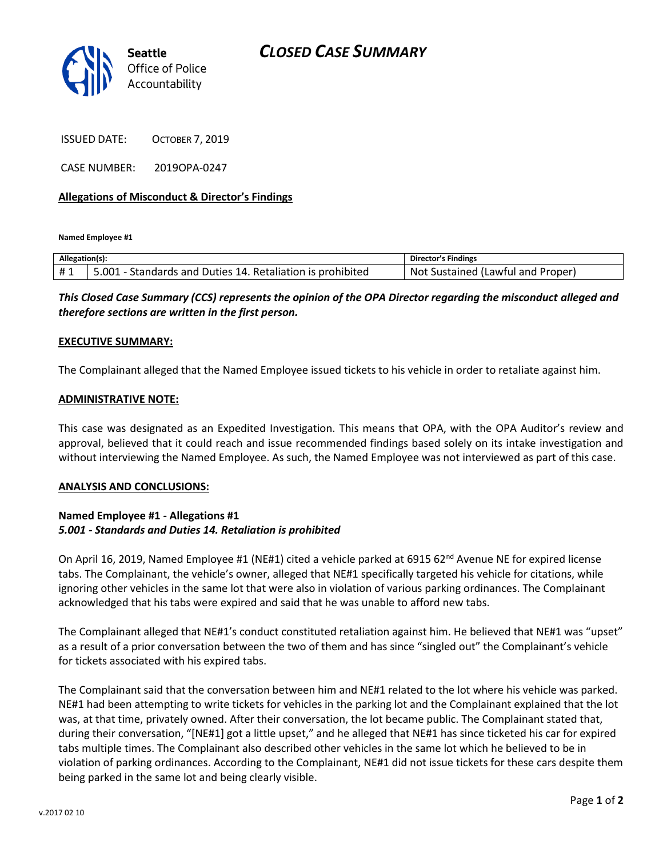

ISSUED DATE: OCTOBER 7, 2019

CASE NUMBER: 2019OPA-0247

### **Allegations of Misconduct & Director's Findings**

**Named Employee #1**

| Allegation(s): |                                                            | <b>Director's Findings</b>        |
|----------------|------------------------------------------------------------|-----------------------------------|
| #1             | 5.001 - Standards and Duties 14. Retaliation is prohibited | Not Sustained (Lawful and Proper) |

*This Closed Case Summary (CCS) represents the opinion of the OPA Director regarding the misconduct alleged and therefore sections are written in the first person.* 

#### **EXECUTIVE SUMMARY:**

The Complainant alleged that the Named Employee issued tickets to his vehicle in order to retaliate against him.

#### **ADMINISTRATIVE NOTE:**

This case was designated as an Expedited Investigation. This means that OPA, with the OPA Auditor's review and approval, believed that it could reach and issue recommended findings based solely on its intake investigation and without interviewing the Named Employee. As such, the Named Employee was not interviewed as part of this case.

#### **ANALYSIS AND CONCLUSIONS:**

## **Named Employee #1 - Allegations #1** *5.001 - Standards and Duties 14. Retaliation is prohibited*

On April 16, 2019, Named Employee #1 (NE#1) cited a vehicle parked at 6915 62<sup>nd</sup> Avenue NE for expired license tabs. The Complainant, the vehicle's owner, alleged that NE#1 specifically targeted his vehicle for citations, while ignoring other vehicles in the same lot that were also in violation of various parking ordinances. The Complainant acknowledged that his tabs were expired and said that he was unable to afford new tabs.

The Complainant alleged that NE#1's conduct constituted retaliation against him. He believed that NE#1 was "upset" as a result of a prior conversation between the two of them and has since "singled out" the Complainant's vehicle for tickets associated with his expired tabs.

The Complainant said that the conversation between him and NE#1 related to the lot where his vehicle was parked. NE#1 had been attempting to write tickets for vehicles in the parking lot and the Complainant explained that the lot was, at that time, privately owned. After their conversation, the lot became public. The Complainant stated that, during their conversation, "[NE#1] got a little upset," and he alleged that NE#1 has since ticketed his car for expired tabs multiple times. The Complainant also described other vehicles in the same lot which he believed to be in violation of parking ordinances. According to the Complainant, NE#1 did not issue tickets for these cars despite them being parked in the same lot and being clearly visible.